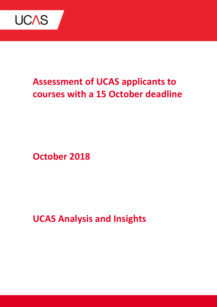

# **Assessment of UCAS applicants to courses with a 15 October deadline**

**October 2018**

**UCAS Analysis and Insights**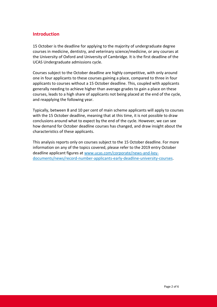# **Introduction**

15 October is the deadline for applying to the majority of undergraduate degree courses in medicine, dentistry, and veterinary science/medicine, or any courses at the University of Oxford and University of Cambridge. It is the first deadline of the UCAS Undergraduate admissions cycle.

Courses subject to the October deadline are highly competitive, with only around one in four applicants to these courses gaining a place, compared to three in four applicants to courses without a 15 October deadline. This, coupled with applicants generally needing to achieve higher than average grades to gain a place on these courses, leads to a high share of applicants not being placed at the end of the cycle, and reapplying the following year.

Typically, between 8 and 10 per cent of main scheme applicants will apply to courses with the 15 October deadline, meaning that at this time, it is not possible to draw conclusions around what to expect by the end of the cycle. However, we can see how demand for October deadline courses has changed, and draw insight about the characteristics of these applicants.

This analysis reports only on courses subject to the 15 October deadline. For more information on any of the topics covered, please refer to the 2019 entry October deadline applicant figures at [www.ucas.com/corporate/news-and-key](http://www.ucas.com/corporate/news-and-key-documents/news/record-number-applicants-early-deadline-university-courses)[documents/news/record-number-applicants-early-deadline-university-courses.](http://www.ucas.com/corporate/news-and-key-documents/news/record-number-applicants-early-deadline-university-courses)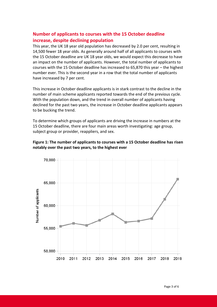# **Number of applicants to courses with the 15 October deadline increase, despite declining population**

This year, the UK 18 year old population has decreased by 2.0 per cent, resulting in 14,500 fewer 18 year olds. As generally around half of all applicants to courses with the 15 October deadline are UK 18 year olds, we would expect this decrease to have an impact on the number of applicants. However, the total number of applicants to courses with the 15 October deadline has increased to 65,870 this year – the highest number ever. This is the second year in a row that the total number of applicants have increased by 7 per cent.

This increase in October deadline applicants is in stark contrast to the decline in the number of main scheme applicants reported towards the end of the previous cycle. With the population down, and the trend in overall number of applicants having declined for the past two years, the increase in October deadline applicants appears to be bucking the trend.

To determine which groups of applicants are driving the increase in numbers at the 15 October deadline, there are four main areas worth investigating: age group, subject group or provider, reappliers, and sex.



## **Figure 1: The number of applicants to courses with a 15 October deadline has risen notably over the past two years, to the highest ever**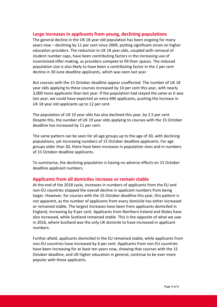#### **Large increases in applicants from young, declining populations**

The general decline in the UK 18 year old population has been ongoing for many years now – declining by 11 per cent since 2009, putting significant strain on higher education providers. The reduction in UK 18 year olds, coupled with removal of student number caps, have been contributing factors in the increasing use of incentivised offer-making, as providers compete to fill their spaces. The reduced population size is also likely to have been a contributing factor in the 2 per cent decline in 30 June deadline applicants, which was seen last year.

But courses with the 15 October deadline appear unaffected. The number of UK 18 year olds applying to these courses increased by 10 per cent this year, with nearly 3,000 more applicants than last year. If the population had stayed the same as it was last year, we could have expected an extra 690 applicants, pushing the increase in UK 18 year old applicants up to 12 per cent.

The population of UK 19 year olds has also declined this year, by 2.5 per cent. Despite this, the number of UK 19 year olds applying to courses with the 15 October deadline has increased by 11 per cent.

The same pattern can be seen for all age groups up to the age of 30, with declining populations, yet increasing numbers of 15 October deadline applicants. For age groups older than 30, there have been increases in population sizes and in numbers of 15 October deadline applicants.

To summarise, the declining population is having no adverse effects on 15 October deadline applicant numbers.

#### **Applicants from all domiciles increase or remain stable**

At the end of the 2018 cycle, increases in numbers of applicants from the EU and non-EU countries stopped the overall decline in applicant numbers from being larger. However, for courses with the 15 October deadline this year, this pattern is not apparent, as the number of applicants from every domicile has either increased or remained stable. The largest increases have been from applicants domiciled in England, increasing by 9 per cent. Applicants from Northern Ireland and Wales have also increased, while Scotland remained stable. This is the opposite of what we saw in 2016, where Scotland was the only UK domicile to have increased in applicant numbers.

Further afield, applicants domiciled in the EU remained stable, while applicants from non-EU countries have increased by 6 per cent. Applicants from non-EU countries have been increasing for at least ten years now, showing that courses with the 15 October deadline, and UK higher education in general, continue to be ever more popular with these applicants.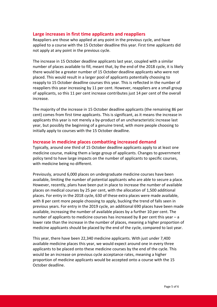## **Large increases in first time applicants and reappliers**

Reappliers are those who applied at any point in the previous cycle, and have applied to a course with the 15 October deadline this year. First time applicants did not apply at any point in the previous cycle.

The increase in 15 October deadline applicants last year, coupled with a similar number of places available to fill, meant that, by the end of the 2018 cycle, it is likely there would be a greater number of 15 October deadline applicants who were not placed. This would result in a larger pool of applicants potentially choosing to reapply to 15 October deadline courses this year. This is reflected in the number of reappliers this year increasing by 11 per cent. However, reappliers are a small group of applicants, so this 11 per cent increase contributes just 14 per cent of the overall increase.

The majority of the increase in 15 October deadline applicants (the remaining 86 per cent) comes from first time applicants. This is significant, as it means the increase in applicants this year is not merely a by-product of an uncharacteristic increase last year, but possibly the beginning of a genuine trend, with more people choosing to initially apply to courses with the 15 October deadline.

#### **Increase in medicine places combatting increased demand**

Typically, around one third of 15 October deadline applicants apply to at least one medicine course, making them a large group of applicants. Changes to government policy tend to have large impacts on the number of applicants to specific courses, with medicine being no different.

Previously, around 6,000 places on undergraduate medicine courses have been available, limiting the number of potential applicants who are able to secure a place. However, recently, plans have been put in place to increase the number of available places on medical courses by 25 per cent, with the allocation of 1,500 additional places. For entry in the 2018 cycle, 630 of these extra places were made available, with 8 per cent more people choosing to apply, bucking the trend of falls seen in previous years. For entry in the 2019 cycle, an additional 690 places have been made available, increasing the number of available places by a further 10 per cent. The number of applicants to medicine courses has increased by 8 per cent this year – a lower rate than the increase in the number of places, meaning a higher proportion of medicine applicants should be placed by the end of the cycle, compared to last year.

This year, there have been 22,340 medicine applicants. With just under 7,400 available medicine places this year, we would expect around one in every three applicants to be placed onto these medicine courses by the end of the cycle. This would be an increase on previous cycle acceptance rates, meaning a higher proportion of medicine applicants would be accepted onto a course with the 15 October deadline.